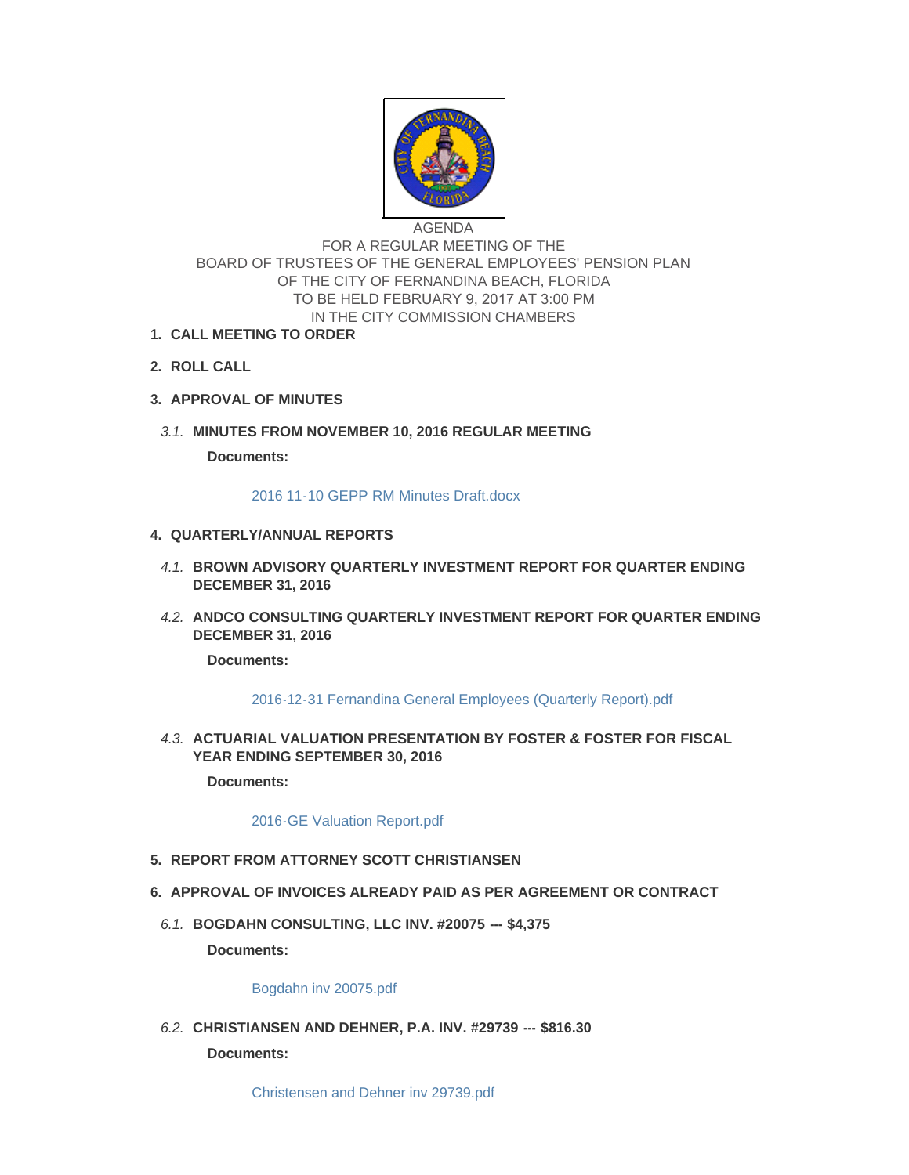

AGENDA FOR A REGULAR MEETING OF THE BOARD OF TRUSTEES OF THE GENERAL EMPLOYEES' PENSION PLAN OF THE CITY OF FERNANDINA BEACH, FLORIDA TO BE HELD FEBRUARY 9, 2017 AT 3:00 PM IN THE CITY COMMISSION CHAMBERS

- **CALL MEETING TO ORDER 1.**
- **ROLL CALL 2.**
- **APPROVAL OF MINUTES 3.**
- **MINUTES FROM NOVEMBER 10, 2016 REGULAR MEETING** *3.1.*

**Documents:**

[2016 11-10 GEPP RM Minutes Draft.docx](http://www.fbfl.us/AgendaCenter/ViewFile/Item/7378?fileID=4976)

- **QUARTERLY/ANNUAL REPORTS 4.**
	- **BROWN ADVISORY QUARTERLY INVESTMENT REPORT FOR QUARTER ENDING**  *4.1.* **DECEMBER 31, 2016**
	- **A.2. ANDCO CONSULTING QUARTERLY INVESTMENT REPORT FOR QUARTER ENDING DECEMBER 31, 2016**

**Documents:**

[2016-12-31 Fernandina General Employees \(Quarterly Report\).pdf](http://www.fbfl.us/AgendaCenter/ViewFile/Item/7453?fileID=4983)

**4.3. ACTUARIAL VALUATION PRESENTATION BY FOSTER & FOSTER FOR FISCAL YEAR ENDING SEPTEMBER 30, 2016**

**Documents:**

## [2016-GE Valuation Report.pdf](http://www.fbfl.us/AgendaCenter/ViewFile/Item/7435?fileID=4989)

- **REPORT FROM ATTORNEY SCOTT CHRISTIANSEN 5.**
- **APPROVAL OF INVOICES ALREADY PAID AS PER AGREEMENT OR CONTRACT 6.**
- **BOGDAHN CONSULTING, LLC INV. #20075 --- \$4,375** *6.1.*

**Documents:**

[Bogdahn inv 20075.pdf](http://www.fbfl.us/AgendaCenter/ViewFile/Item/7436?fileID=4977)

**CHRISTIANSEN AND DEHNER, P.A. INV. #29739 --- \$816.30** *6.2.*

**Documents:**

[Christensen and Dehner inv 29739.pdf](http://www.fbfl.us/AgendaCenter/ViewFile/Item/7437?fileID=4978)